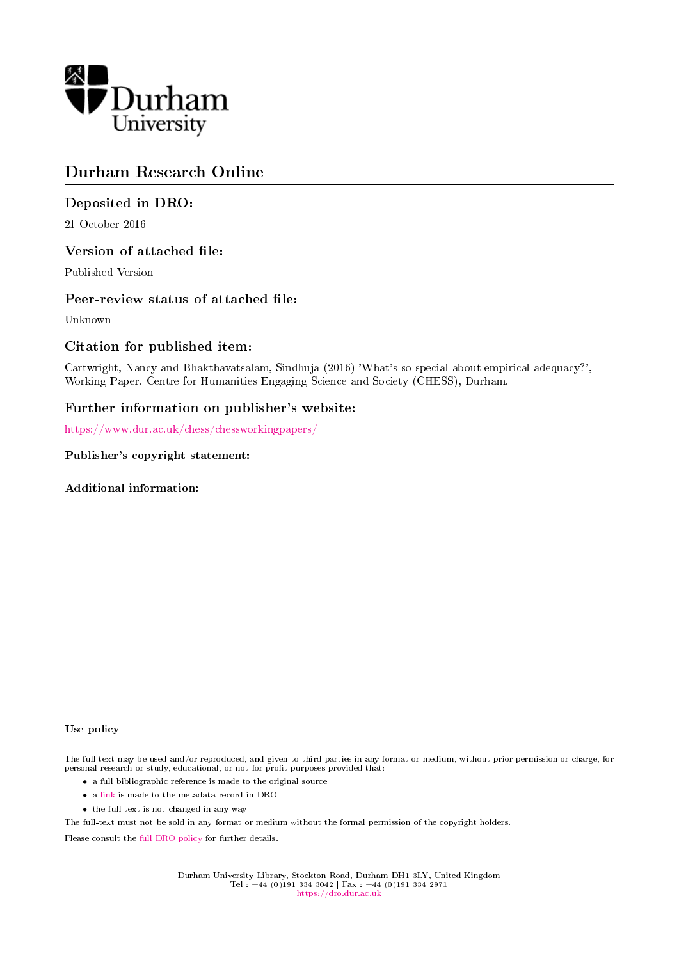

# Durham Research Online

# Deposited in DRO:

21 October 2016

# Version of attached file:

Published Version

# Peer-review status of attached file:

Unknown

# Citation for published item:

Cartwright, Nancy and Bhakthavatsalam, Sindhuja (2016) 'What's so special about empirical adequacy?', Working Paper. Centre for Humanities Engaging Science and Society (CHESS), Durham.

# Further information on publisher's website:

<https://www.dur.ac.uk/chess/chessworkingpapers/>

#### Publisher's copyright statement:

Additional information:

#### Use policy

The full-text may be used and/or reproduced, and given to third parties in any format or medium, without prior permission or charge, for personal research or study, educational, or not-for-profit purposes provided that:

- a full bibliographic reference is made to the original source
- a [link](http://dro.dur.ac.uk/20086/) is made to the metadata record in DRO
- the full-text is not changed in any way

The full-text must not be sold in any format or medium without the formal permission of the copyright holders.

Please consult the [full DRO policy](https://dro.dur.ac.uk/policies/usepolicy.pdf) for further details.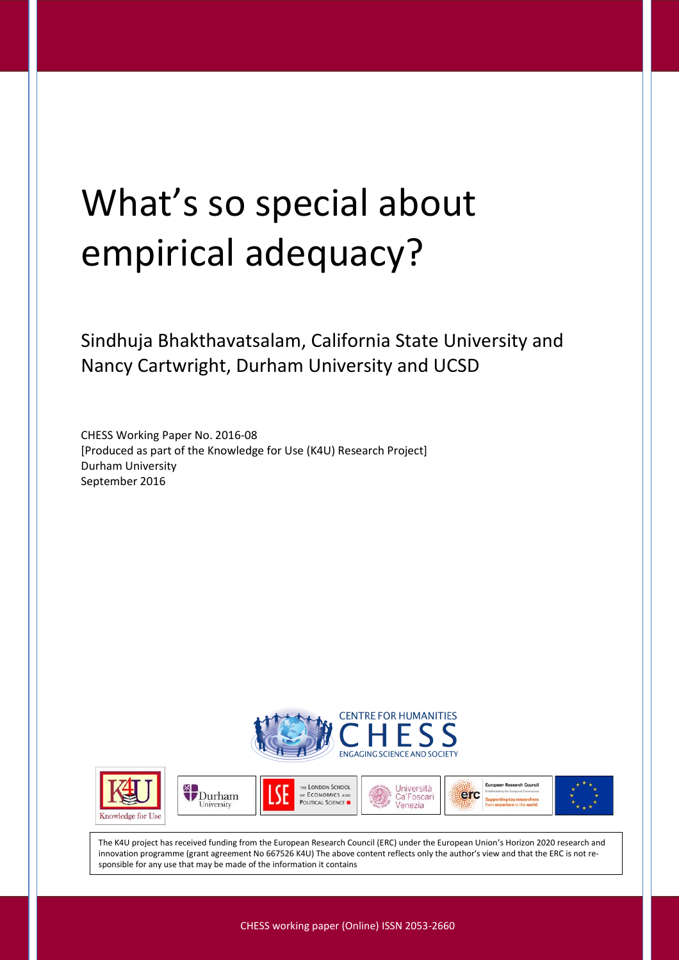# What's so special about empirical adequacy?

Sindhuja Bhakthavatsalam, California State University and Nancy Cartwright, Durham University and UCSD

CHESS Working Paper No. 2016-08 [Produced as part of the Knowledge for Use (K4U) Research Project] Durham University September 2016













The K4U project has received funding from the European Research Council (ERC) under the European Union's Horizon 2020 research and innovation programme (grant agreement No 667526 K4U) The above content reflects only the author's view and that the ERC is not responsible for any use that may be made of the information it contains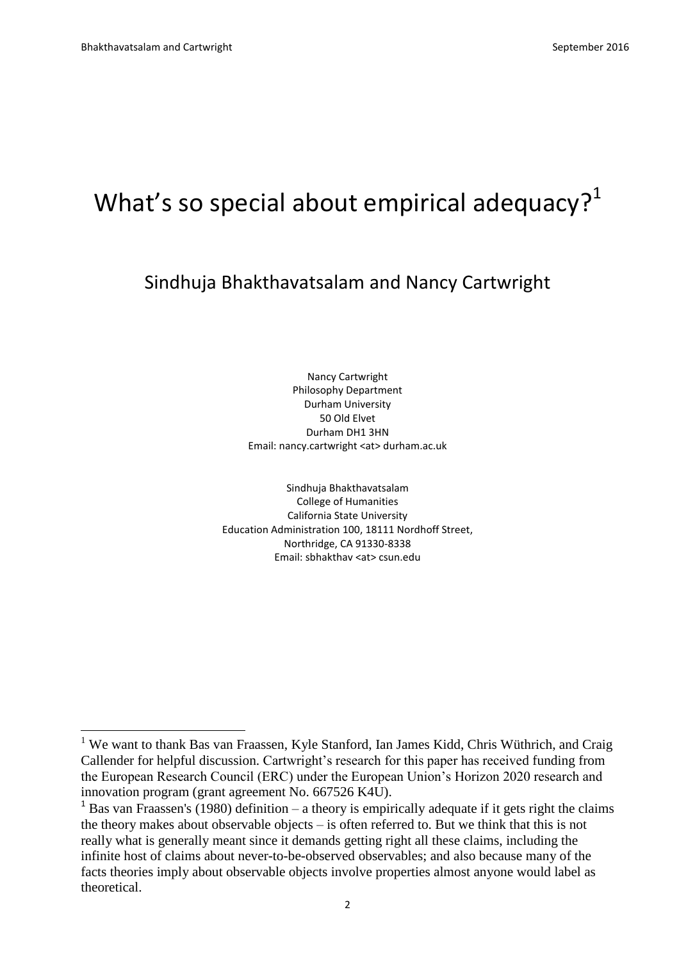$\overline{a}$ 

# What's so special about empirical adequacy? $1$

# Sindhuja Bhakthavatsalam and Nancy Cartwright

Nancy Cartwright Philosophy Department Durham University 50 Old Elvet Durham DH1 3HN Email: nancy.cartwright <at> durham.ac.uk

Sindhuja Bhakthavatsalam College of Humanities California State University Education Administration 100, 18111 Nordhoff Street, Northridge, CA 91330-8338 Email: sbhakthav <at> csun.edu

<sup>&</sup>lt;sup>1</sup> We want to thank Bas van Fraassen, Kyle Stanford, Ian James Kidd, Chris Wüthrich, and Craig Callender for helpful discussion. Cartwright's research for this paper has received funding from the European Research Council (ERC) under the European Union's Horizon 2020 research and innovation program (grant agreement No. 667526 K4U).

<sup>&</sup>lt;sup>1</sup> Bas van Fraassen's (1980) definition – a theory is empirically adequate if it gets right the claims the theory makes about observable objects – is often referred to. But we think that this is not really what is generally meant since it demands getting right all these claims, including the infinite host of claims about never-to-be-observed observables; and also because many of the facts theories imply about observable objects involve properties almost anyone would label as theoretical.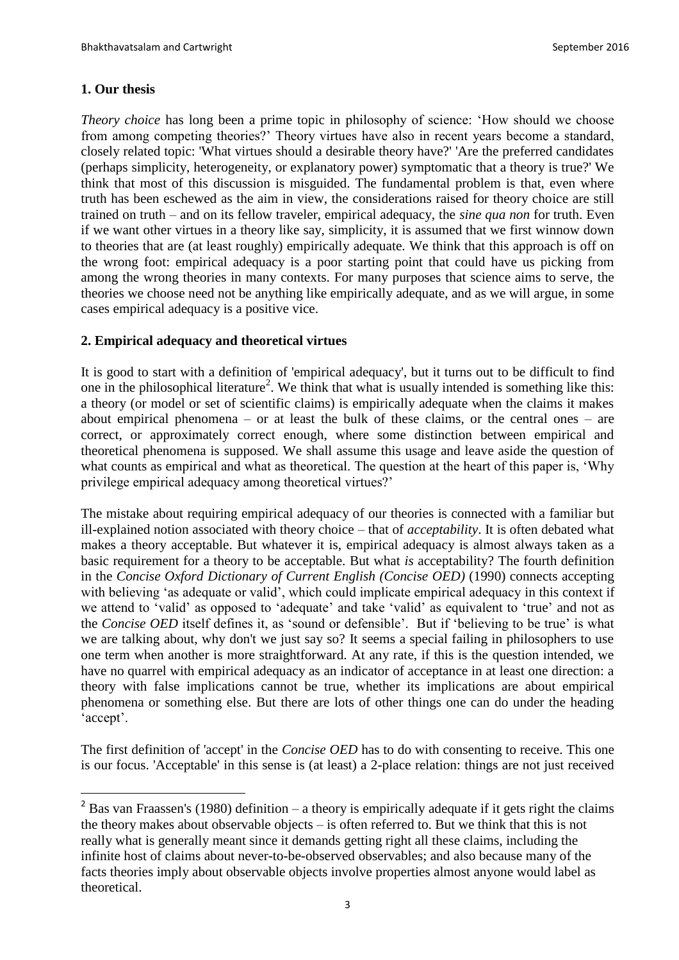# **1. Our thesis**

 $\overline{a}$ 

*Theory choice* has long been a prime topic in philosophy of science: 'How should we choose from among competing theories?' Theory virtues have also in recent years become a standard, closely related topic: 'What virtues should a desirable theory have?' 'Are the preferred candidates (perhaps simplicity, heterogeneity, or explanatory power) symptomatic that a theory is true?' We think that most of this discussion is misguided. The fundamental problem is that, even where truth has been eschewed as the aim in view, the considerations raised for theory choice are still trained on truth – and on its fellow traveler, empirical adequacy, the *sine qua non* for truth. Even if we want other virtues in a theory like say, simplicity, it is assumed that we first winnow down to theories that are (at least roughly) empirically adequate. We think that this approach is off on the wrong foot: empirical adequacy is a poor starting point that could have us picking from among the wrong theories in many contexts. For many purposes that science aims to serve, the theories we choose need not be anything like empirically adequate, and as we will argue, in some cases empirical adequacy is a positive vice.

# **2. Empirical adequacy and theoretical virtues**

It is good to start with a definition of 'empirical adequacy', but it turns out to be difficult to find one in the philosophical literature<sup>2</sup>. We think that what is usually intended is something like this: a theory (or model or set of scientific claims) is empirically adequate when the claims it makes about empirical phenomena – or at least the bulk of these claims, or the central ones – are correct, or approximately correct enough, where some distinction between empirical and theoretical phenomena is supposed. We shall assume this usage and leave aside the question of what counts as empirical and what as theoretical. The question at the heart of this paper is, 'Why privilege empirical adequacy among theoretical virtues?'

The mistake about requiring empirical adequacy of our theories is connected with a familiar but ill-explained notion associated with theory choice – that of *acceptability*. It is often debated what makes a theory acceptable. But whatever it is, empirical adequacy is almost always taken as a basic requirement for a theory to be acceptable. But what *is* acceptability? The fourth definition in the *Concise Oxford Dictionary of Current English (Concise OED)* (1990) connects accepting with believing 'as adequate or valid', which could implicate empirical adequacy in this context if we attend to 'valid' as opposed to 'adequate' and take 'valid' as equivalent to 'true' and not as the *Concise OED* itself defines it, as 'sound or defensible'. But if 'believing to be true' is what we are talking about, why don't we just say so? It seems a special failing in philosophers to use one term when another is more straightforward. At any rate, if this is the question intended, we have no quarrel with empirical adequacy as an indicator of acceptance in at least one direction: a theory with false implications cannot be true, whether its implications are about empirical phenomena or something else. But there are lots of other things one can do under the heading 'accept'.

The first definition of 'accept' in the *Concise OED* has to do with consenting to receive. This one is our focus. 'Acceptable' in this sense is (at least) a 2-place relation: things are not just received

<sup>&</sup>lt;sup>2</sup> Bas van Fraassen's (1980) definition – a theory is empirically adequate if it gets right the claims the theory makes about observable objects – is often referred to. But we think that this is not really what is generally meant since it demands getting right all these claims, including the infinite host of claims about never-to-be-observed observables; and also because many of the facts theories imply about observable objects involve properties almost anyone would label as theoretical.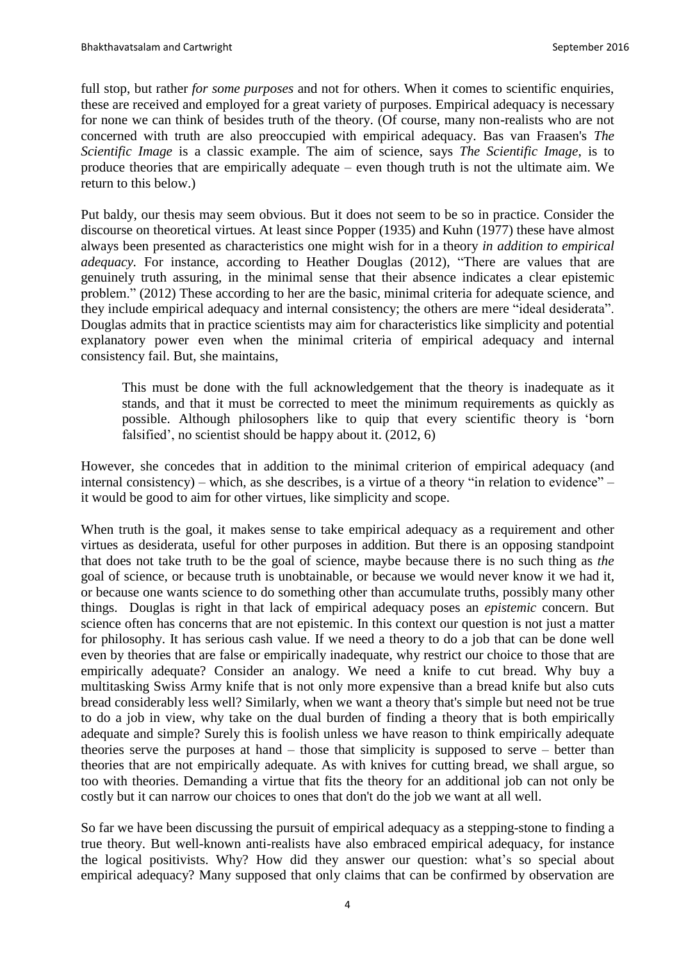full stop, but rather *for some purposes* and not for others. When it comes to scientific enquiries, these are received and employed for a great variety of purposes. Empirical adequacy is necessary for none we can think of besides truth of the theory. (Of course, many non-realists who are not concerned with truth are also preoccupied with empirical adequacy. Bas van Fraasen's *The Scientific Image* is a classic example. The aim of science, says *The Scientific Image*, is to produce theories that are empirically adequate – even though truth is not the ultimate aim. We return to this below.)

Put baldy, our thesis may seem obvious. But it does not seem to be so in practice. Consider the discourse on theoretical virtues. At least since Popper (1935) and Kuhn (1977) these have almost always been presented as characteristics one might wish for in a theory *in addition to empirical adequacy.* For instance, according to Heather Douglas (2012), "There are values that are genuinely truth assuring, in the minimal sense that their absence indicates a clear epistemic problem." (2012) These according to her are the basic, minimal criteria for adequate science, and they include empirical adequacy and internal consistency; the others are mere "ideal desiderata". Douglas admits that in practice scientists may aim for characteristics like simplicity and potential explanatory power even when the minimal criteria of empirical adequacy and internal consistency fail. But, she maintains,

This must be done with the full acknowledgement that the theory is inadequate as it stands, and that it must be corrected to meet the minimum requirements as quickly as possible. Although philosophers like to quip that every scientific theory is 'born falsified', no scientist should be happy about it. (2012, 6)

However, she concedes that in addition to the minimal criterion of empirical adequacy (and internal consistency) – which, as she describes, is a virtue of a theory "in relation to evidence" – it would be good to aim for other virtues, like simplicity and scope.

When truth is the goal, it makes sense to take empirical adequacy as a requirement and other virtues as desiderata, useful for other purposes in addition. But there is an opposing standpoint that does not take truth to be the goal of science, maybe because there is no such thing as *the* goal of science, or because truth is unobtainable, or because we would never know it we had it, or because one wants science to do something other than accumulate truths, possibly many other things. Douglas is right in that lack of empirical adequacy poses an *epistemic* concern. But science often has concerns that are not epistemic. In this context our question is not just a matter for philosophy. It has serious cash value. If we need a theory to do a job that can be done well even by theories that are false or empirically inadequate, why restrict our choice to those that are empirically adequate? Consider an analogy. We need a knife to cut bread. Why buy a multitasking Swiss Army knife that is not only more expensive than a bread knife but also cuts bread considerably less well? Similarly, when we want a theory that's simple but need not be true to do a job in view, why take on the dual burden of finding a theory that is both empirically adequate and simple? Surely this is foolish unless we have reason to think empirically adequate theories serve the purposes at hand – those that simplicity is supposed to serve – better than theories that are not empirically adequate. As with knives for cutting bread, we shall argue, so too with theories. Demanding a virtue that fits the theory for an additional job can not only be costly but it can narrow our choices to ones that don't do the job we want at all well.

So far we have been discussing the pursuit of empirical adequacy as a stepping-stone to finding a true theory. But well-known anti-realists have also embraced empirical adequacy, for instance the logical positivists. Why? How did they answer our question: what's so special about empirical adequacy? Many supposed that only claims that can be confirmed by observation are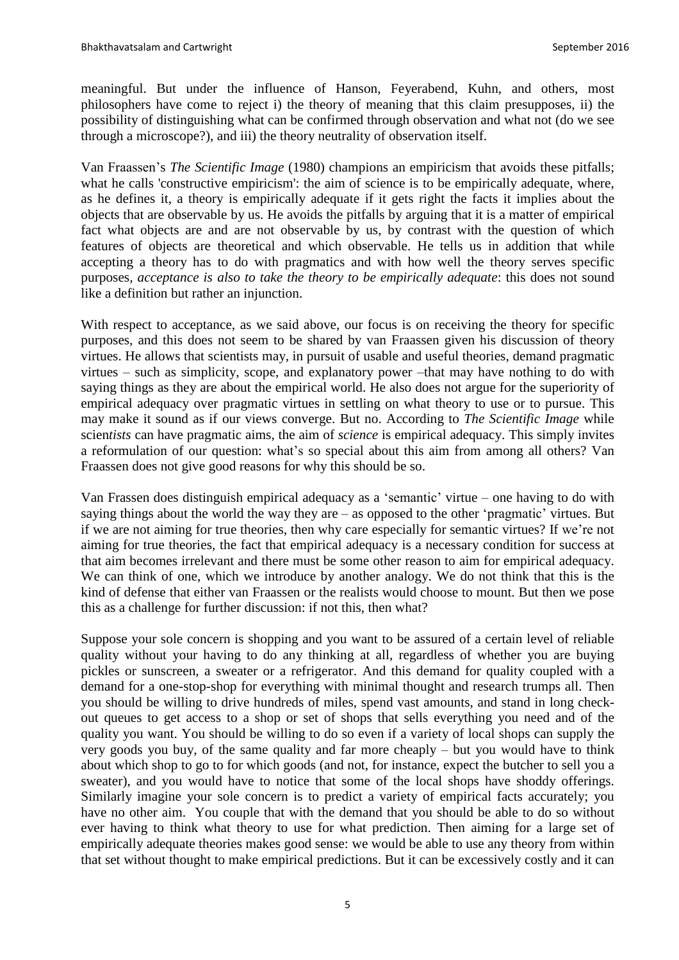meaningful. But under the influence of Hanson, Feyerabend, Kuhn, and others, most philosophers have come to reject i) the theory of meaning that this claim presupposes, ii) the possibility of distinguishing what can be confirmed through observation and what not (do we see through a microscope?), and iii) the theory neutrality of observation itself.

Van Fraassen's *The Scientific Image* (1980) champions an empiricism that avoids these pitfalls; what he calls 'constructive empiricism': the aim of science is to be empirically adequate, where, as he defines it, a theory is empirically adequate if it gets right the facts it implies about the objects that are observable by us. He avoids the pitfalls by arguing that it is a matter of empirical fact what objects are and are not observable by us, by contrast with the question of which features of objects are theoretical and which observable. He tells us in addition that while accepting a theory has to do with pragmatics and with how well the theory serves specific purposes*, acceptance is also to take the theory to be empirically adequate*: this does not sound like a definition but rather an injunction.

With respect to acceptance, as we said above, our focus is on receiving the theory for specific purposes, and this does not seem to be shared by van Fraassen given his discussion of theory virtues. He allows that scientists may, in pursuit of usable and useful theories, demand pragmatic virtues – such as simplicity, scope, and explanatory power –that may have nothing to do with saying things as they are about the empirical world. He also does not argue for the superiority of empirical adequacy over pragmatic virtues in settling on what theory to use or to pursue. This may make it sound as if our views converge. But no. According to *The Scientific Image* while scien*tists* can have pragmatic aims, the aim of *science* is empirical adequacy. This simply invites a reformulation of our question: what's so special about this aim from among all others? Van Fraassen does not give good reasons for why this should be so.

Van Frassen does distinguish empirical adequacy as a 'semantic' virtue – one having to do with saying things about the world the way they are – as opposed to the other 'pragmatic' virtues. But if we are not aiming for true theories, then why care especially for semantic virtues? If we're not aiming for true theories, the fact that empirical adequacy is a necessary condition for success at that aim becomes irrelevant and there must be some other reason to aim for empirical adequacy. We can think of one, which we introduce by another analogy. We do not think that this is the kind of defense that either van Fraassen or the realists would choose to mount. But then we pose this as a challenge for further discussion: if not this, then what?

Suppose your sole concern is shopping and you want to be assured of a certain level of reliable quality without your having to do any thinking at all, regardless of whether you are buying pickles or sunscreen, a sweater or a refrigerator. And this demand for quality coupled with a demand for a one-stop-shop for everything with minimal thought and research trumps all. Then you should be willing to drive hundreds of miles, spend vast amounts, and stand in long checkout queues to get access to a shop or set of shops that sells everything you need and of the quality you want. You should be willing to do so even if a variety of local shops can supply the very goods you buy, of the same quality and far more cheaply – but you would have to think about which shop to go to for which goods (and not, for instance, expect the butcher to sell you a sweater), and you would have to notice that some of the local shops have shoddy offerings. Similarly imagine your sole concern is to predict a variety of empirical facts accurately; you have no other aim. You couple that with the demand that you should be able to do so without ever having to think what theory to use for what prediction. Then aiming for a large set of empirically adequate theories makes good sense: we would be able to use any theory from within that set without thought to make empirical predictions. But it can be excessively costly and it can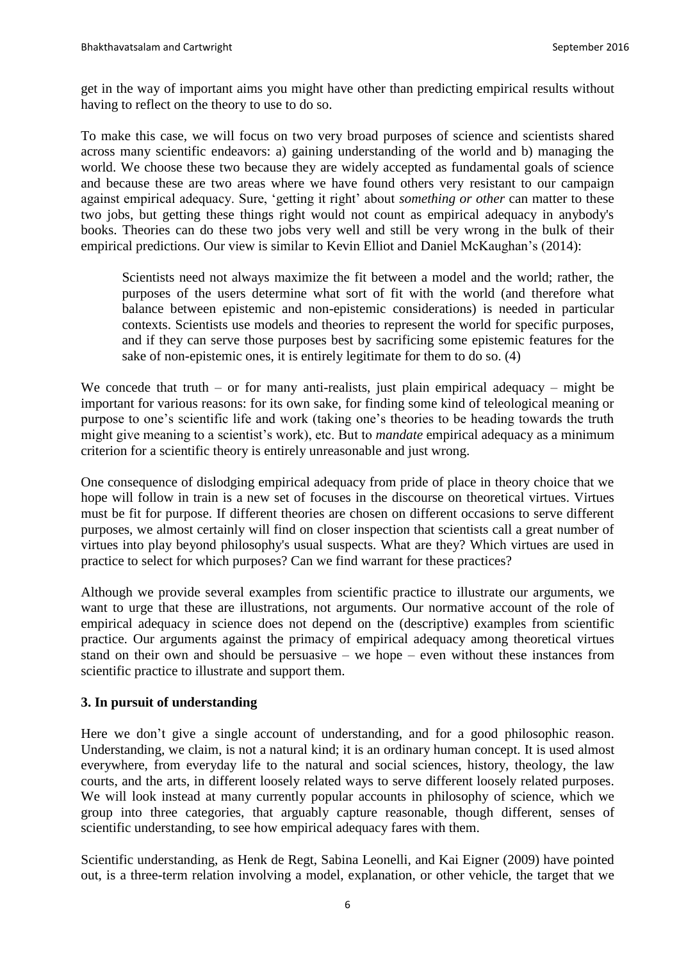get in the way of important aims you might have other than predicting empirical results without having to reflect on the theory to use to do so.

To make this case, we will focus on two very broad purposes of science and scientists shared across many scientific endeavors: a) gaining understanding of the world and b) managing the world. We choose these two because they are widely accepted as fundamental goals of science and because these are two areas where we have found others very resistant to our campaign against empirical adequacy. Sure, 'getting it right' about *something or other* can matter to these two jobs, but getting these things right would not count as empirical adequacy in anybody's books. Theories can do these two jobs very well and still be very wrong in the bulk of their empirical predictions. Our view is similar to Kevin Elliot and Daniel McKaughan's (2014):

Scientists need not always maximize the fit between a model and the world; rather, the purposes of the users determine what sort of fit with the world (and therefore what balance between epistemic and non-epistemic considerations) is needed in particular contexts. Scientists use models and theories to represent the world for specific purposes, and if they can serve those purposes best by sacrificing some epistemic features for the sake of non-epistemic ones, it is entirely legitimate for them to do so. (4)

We concede that truth – or for many anti-realists, just plain empirical adequacy – might be important for various reasons: for its own sake, for finding some kind of teleological meaning or purpose to one's scientific life and work (taking one's theories to be heading towards the truth might give meaning to a scientist's work), etc. But to *mandate* empirical adequacy as a minimum criterion for a scientific theory is entirely unreasonable and just wrong.

One consequence of dislodging empirical adequacy from pride of place in theory choice that we hope will follow in train is a new set of focuses in the discourse on theoretical virtues. Virtues must be fit for purpose. If different theories are chosen on different occasions to serve different purposes, we almost certainly will find on closer inspection that scientists call a great number of virtues into play beyond philosophy's usual suspects. What are they? Which virtues are used in practice to select for which purposes? Can we find warrant for these practices?

Although we provide several examples from scientific practice to illustrate our arguments, we want to urge that these are illustrations, not arguments. Our normative account of the role of empirical adequacy in science does not depend on the (descriptive) examples from scientific practice. Our arguments against the primacy of empirical adequacy among theoretical virtues stand on their own and should be persuasive – we hope – even without these instances from scientific practice to illustrate and support them.

# **3. In pursuit of understanding**

Here we don't give a single account of understanding, and for a good philosophic reason. Understanding, we claim, is not a natural kind; it is an ordinary human concept. It is used almost everywhere, from everyday life to the natural and social sciences, history, theology, the law courts, and the arts, in different loosely related ways to serve different loosely related purposes. We will look instead at many currently popular accounts in philosophy of science, which we group into three categories, that arguably capture reasonable, though different, senses of scientific understanding, to see how empirical adequacy fares with them.

Scientific understanding, as Henk de Regt, Sabina Leonelli, and Kai Eigner (2009) have pointed out, is a three-term relation involving a model, explanation, or other vehicle, the target that we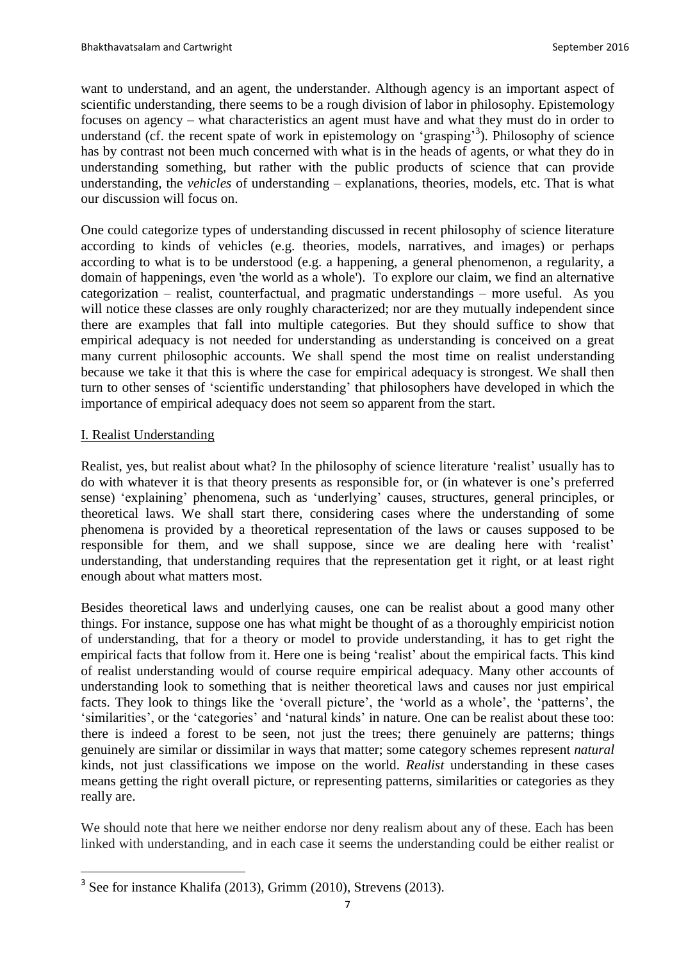want to understand, and an agent, the understander. Although agency is an important aspect of scientific understanding, there seems to be a rough division of labor in philosophy. Epistemology focuses on agency – what characteristics an agent must have and what they must do in order to understand (cf. the recent spate of work in epistemology on 'grasping'<sup>3</sup>). Philosophy of science has by contrast not been much concerned with what is in the heads of agents, or what they do in understanding something, but rather with the public products of science that can provide understanding, the *vehicles* of understanding – explanations, theories, models, etc. That is what our discussion will focus on.

One could categorize types of understanding discussed in recent philosophy of science literature according to kinds of vehicles (e.g. theories, models, narratives, and images) or perhaps according to what is to be understood (e.g. a happening, a general phenomenon, a regularity, a domain of happenings, even 'the world as a whole'). To explore our claim, we find an alternative categorization – realist, counterfactual, and pragmatic understandings – more useful. As you will notice these classes are only roughly characterized; nor are they mutually independent since there are examples that fall into multiple categories. But they should suffice to show that empirical adequacy is not needed for understanding as understanding is conceived on a great many current philosophic accounts. We shall spend the most time on realist understanding because we take it that this is where the case for empirical adequacy is strongest. We shall then turn to other senses of 'scientific understanding' that philosophers have developed in which the importance of empirical adequacy does not seem so apparent from the start.

# I. Realist Understanding

 $\overline{a}$ 

Realist, yes, but realist about what? In the philosophy of science literature 'realist' usually has to do with whatever it is that theory presents as responsible for, or (in whatever is one's preferred sense) 'explaining' phenomena, such as 'underlying' causes, structures, general principles, or theoretical laws. We shall start there, considering cases where the understanding of some phenomena is provided by a theoretical representation of the laws or causes supposed to be responsible for them, and we shall suppose, since we are dealing here with 'realist' understanding, that understanding requires that the representation get it right, or at least right enough about what matters most.

Besides theoretical laws and underlying causes, one can be realist about a good many other things. For instance, suppose one has what might be thought of as a thoroughly empiricist notion of understanding, that for a theory or model to provide understanding, it has to get right the empirical facts that follow from it. Here one is being 'realist' about the empirical facts. This kind of realist understanding would of course require empirical adequacy. Many other accounts of understanding look to something that is neither theoretical laws and causes nor just empirical facts. They look to things like the 'overall picture', the 'world as a whole', the 'patterns', the 'similarities', or the 'categories' and 'natural kinds' in nature. One can be realist about these too: there is indeed a forest to be seen, not just the trees; there genuinely are patterns; things genuinely are similar or dissimilar in ways that matter; some category schemes represent *natural* kinds, not just classifications we impose on the world. *Realist* understanding in these cases means getting the right overall picture, or representing patterns, similarities or categories as they really are.

We should note that here we neither endorse nor deny realism about any of these. Each has been linked with understanding, and in each case it seems the understanding could be either realist or

<sup>&</sup>lt;sup>3</sup> See for instance Khalifa (2013), Grimm (2010), Strevens (2013).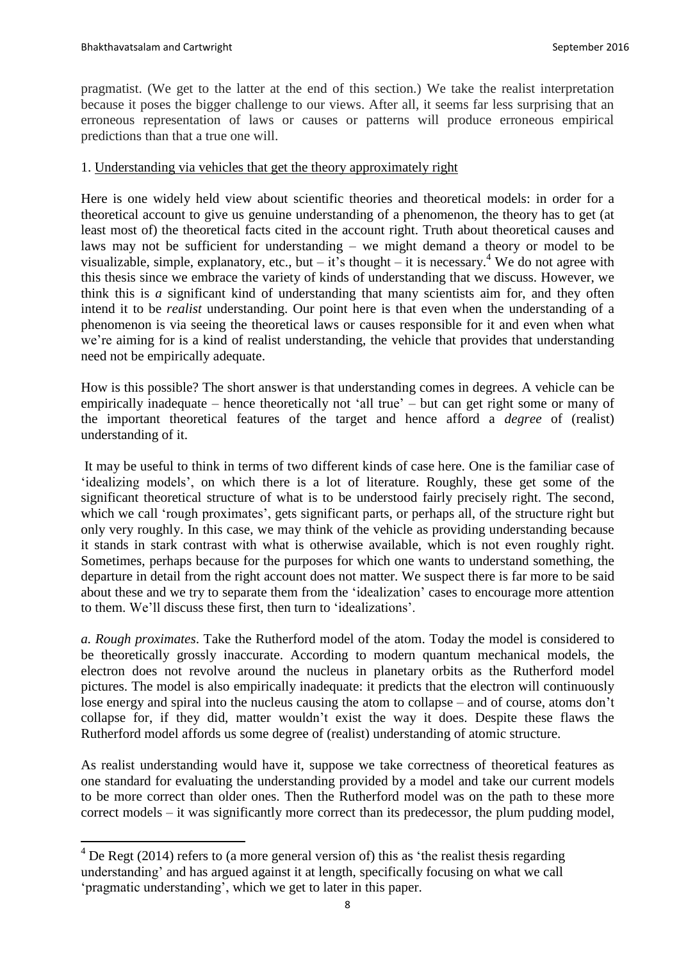$\overline{a}$ 

pragmatist. (We get to the latter at the end of this section.) We take the realist interpretation because it poses the bigger challenge to our views. After all, it seems far less surprising that an erroneous representation of laws or causes or patterns will produce erroneous empirical predictions than that a true one will.

# 1. Understanding via vehicles that get the theory approximately right

Here is one widely held view about scientific theories and theoretical models: in order for a theoretical account to give us genuine understanding of a phenomenon, the theory has to get (at least most of) the theoretical facts cited in the account right. Truth about theoretical causes and laws may not be sufficient for understanding – we might demand a theory or model to be visualizable, simple, explanatory, etc., but  $-$  it's thought  $-$  it is necessary.<sup>4</sup> We do not agree with this thesis since we embrace the variety of kinds of understanding that we discuss. However, we think this is *a* significant kind of understanding that many scientists aim for, and they often intend it to be *realist* understanding. Our point here is that even when the understanding of a phenomenon is via seeing the theoretical laws or causes responsible for it and even when what we're aiming for is a kind of realist understanding, the vehicle that provides that understanding need not be empirically adequate.

How is this possible? The short answer is that understanding comes in degrees. A vehicle can be empirically inadequate – hence theoretically not 'all true' – but can get right some or many of the important theoretical features of the target and hence afford a *degree* of (realist) understanding of it.

It may be useful to think in terms of two different kinds of case here. One is the familiar case of 'idealizing models', on which there is a lot of literature. Roughly, these get some of the significant theoretical structure of what is to be understood fairly precisely right. The second, which we call 'rough proximates', gets significant parts, or perhaps all, of the structure right but only very roughly. In this case, we may think of the vehicle as providing understanding because it stands in stark contrast with what is otherwise available, which is not even roughly right. Sometimes, perhaps because for the purposes for which one wants to understand something, the departure in detail from the right account does not matter. We suspect there is far more to be said about these and we try to separate them from the 'idealization' cases to encourage more attention to them. We'll discuss these first, then turn to 'idealizations'.

*a. Rough proximates*. Take the Rutherford model of the atom. Today the model is considered to be theoretically grossly inaccurate. According to modern quantum mechanical models, the electron does not revolve around the nucleus in planetary orbits as the Rutherford model pictures. The model is also empirically inadequate: it predicts that the electron will continuously lose energy and spiral into the nucleus causing the atom to collapse – and of course, atoms don't collapse for, if they did, matter wouldn't exist the way it does. Despite these flaws the Rutherford model affords us some degree of (realist) understanding of atomic structure.

As realist understanding would have it, suppose we take correctness of theoretical features as one standard for evaluating the understanding provided by a model and take our current models to be more correct than older ones. Then the Rutherford model was on the path to these more correct models – it was significantly more correct than its predecessor, the plum pudding model,

 $4$  De Regt (2014) refers to (a more general version of) this as 'the realist thesis regarding understanding' and has argued against it at length, specifically focusing on what we call 'pragmatic understanding', which we get to later in this paper.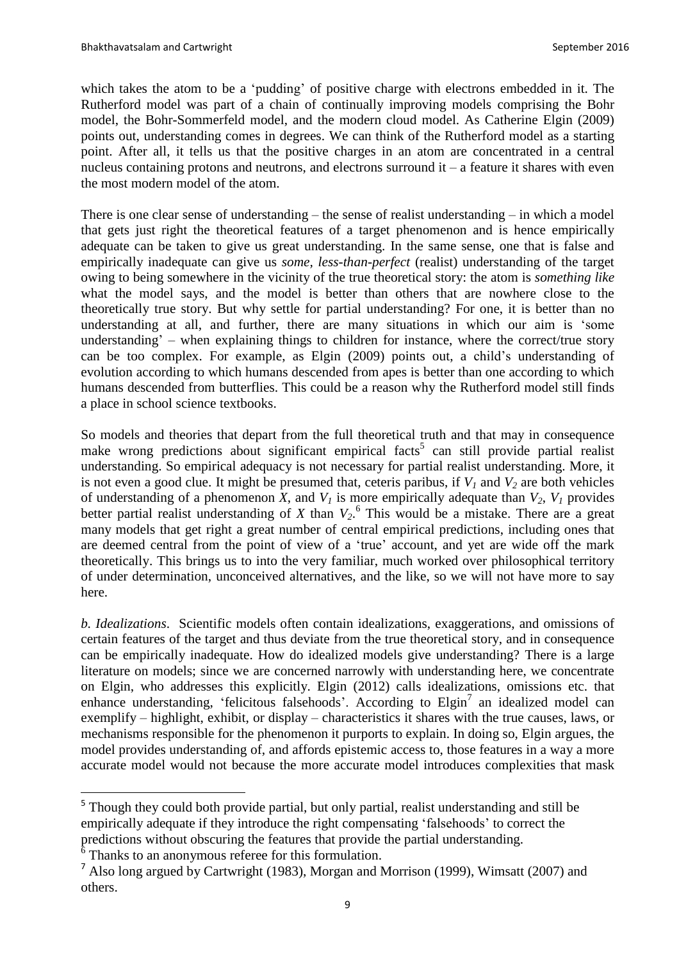$\overline{a}$ 

which takes the atom to be a 'pudding' of positive charge with electrons embedded in it. The Rutherford model was part of a chain of continually improving models comprising the Bohr model, the Bohr-Sommerfeld model, and the modern cloud model. As Catherine Elgin (2009) points out, understanding comes in degrees. We can think of the Rutherford model as a starting point. After all, it tells us that the positive charges in an atom are concentrated in a central nucleus containing protons and neutrons, and electrons surround it – a feature it shares with even the most modern model of the atom.

There is one clear sense of understanding – the sense of realist understanding – in which a model that gets just right the theoretical features of a target phenomenon and is hence empirically adequate can be taken to give us great understanding. In the same sense, one that is false and empirically inadequate can give us *some, less-than-perfect* (realist) understanding of the target owing to being somewhere in the vicinity of the true theoretical story: the atom is *something like* what the model says, and the model is better than others that are nowhere close to the theoretically true story. But why settle for partial understanding? For one, it is better than no understanding at all, and further, there are many situations in which our aim is 'some understanding' – when explaining things to children for instance, where the correct/true story can be too complex. For example, as Elgin (2009) points out, a child's understanding of evolution according to which humans descended from apes is better than one according to which humans descended from butterflies. This could be a reason why the Rutherford model still finds a place in school science textbooks.

So models and theories that depart from the full theoretical truth and that may in consequence make wrong predictions about significant empirical facts<sup>5</sup> can still provide partial realist understanding. So empirical adequacy is not necessary for partial realist understanding. More, it is not even a good clue. It might be presumed that, ceteris paribus, if  $V<sub>1</sub>$  and  $V<sub>2</sub>$  are both vehicles of understanding of a phenomenon *X*, and  $V<sub>1</sub>$  is more empirically adequate than  $V<sub>2</sub>$ ,  $V<sub>1</sub>$  provides better partial realist understanding of *X* than *V2*. 6 This would be a mistake. There are a great many models that get right a great number of central empirical predictions, including ones that are deemed central from the point of view of a 'true' account, and yet are wide off the mark theoretically. This brings us to into the very familiar, much worked over philosophical territory of under determination, unconceived alternatives, and the like, so we will not have more to say here.

*b. Idealizations*. Scientific models often contain idealizations, exaggerations, and omissions of certain features of the target and thus deviate from the true theoretical story, and in consequence can be empirically inadequate. How do idealized models give understanding? There is a large literature on models; since we are concerned narrowly with understanding here, we concentrate on Elgin, who addresses this explicitly. Elgin (2012) calls idealizations, omissions etc. that enhance understanding, 'felicitous falsehoods'. According to  $Elgin<sup>7</sup>$  an idealized model can exemplify – highlight, exhibit, or display – characteristics it shares with the true causes, laws, or mechanisms responsible for the phenomenon it purports to explain. In doing so, Elgin argues, the model provides understanding of, and affords epistemic access to, those features in a way a more accurate model would not because the more accurate model introduces complexities that mask

<sup>&</sup>lt;sup>5</sup> Though they could both provide partial, but only partial, realist understanding and still be empirically adequate if they introduce the right compensating 'falsehoods' to correct the predictions without obscuring the features that provide the partial understanding.  $6$  Thanks to an anonymous referee for this formulation.

<sup>7</sup> Also long argued by Cartwright (1983), Morgan and Morrison (1999), Wimsatt (2007) and others.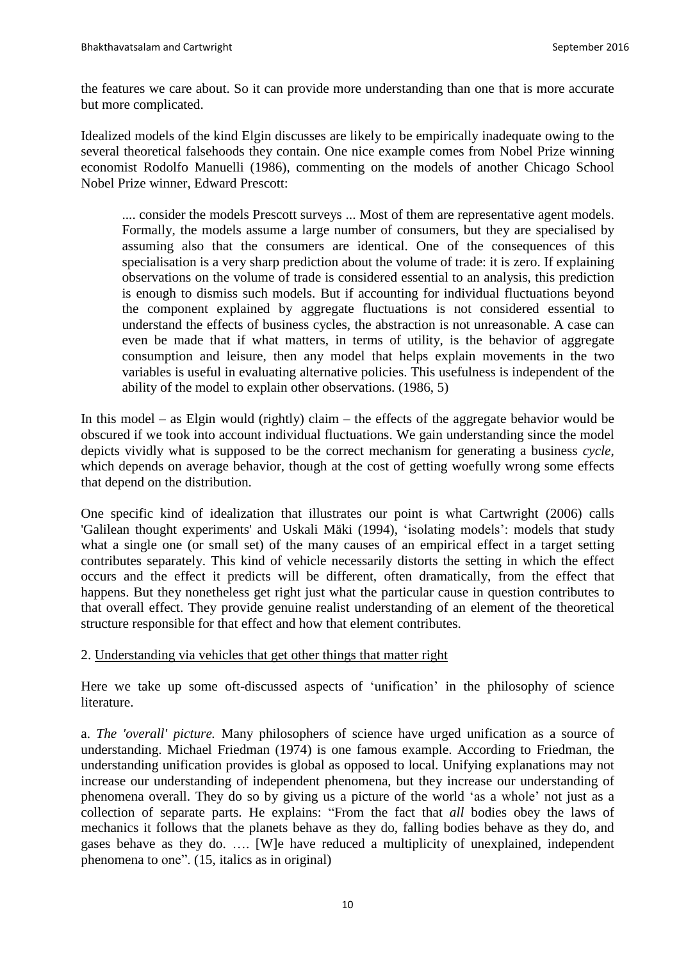the features we care about. So it can provide more understanding than one that is more accurate but more complicated.

Idealized models of the kind Elgin discusses are likely to be empirically inadequate owing to the several theoretical falsehoods they contain. One nice example comes from Nobel Prize winning economist Rodolfo Manuelli (1986), commenting on the models of another Chicago School Nobel Prize winner, Edward Prescott:

.... consider the models Prescott surveys ... Most of them are representative agent models. Formally, the models assume a large number of consumers, but they are specialised by assuming also that the consumers are identical. One of the consequences of this specialisation is a very sharp prediction about the volume of trade: it is zero. If explaining observations on the volume of trade is considered essential to an analysis, this prediction is enough to dismiss such models. But if accounting for individual fluctuations beyond the component explained by aggregate fluctuations is not considered essential to understand the effects of business cycles, the abstraction is not unreasonable. A case can even be made that if what matters, in terms of utility, is the behavior of aggregate consumption and leisure, then any model that helps explain movements in the two variables is useful in evaluating alternative policies. This usefulness is independent of the ability of the model to explain other observations. (1986, 5)

In this model – as Elgin would (rightly) claim – the effects of the aggregate behavior would be obscured if we took into account individual fluctuations. We gain understanding since the model depicts vividly what is supposed to be the correct mechanism for generating a business *cycle*, which depends on average behavior, though at the cost of getting woefully wrong some effects that depend on the distribution.

One specific kind of idealization that illustrates our point is what Cartwright (2006) calls 'Galilean thought experiments' and Uskali Mäki (1994), 'isolating models': models that study what a single one (or small set) of the many causes of an empirical effect in a target setting contributes separately. This kind of vehicle necessarily distorts the setting in which the effect occurs and the effect it predicts will be different, often dramatically, from the effect that happens. But they nonetheless get right just what the particular cause in question contributes to that overall effect. They provide genuine realist understanding of an element of the theoretical structure responsible for that effect and how that element contributes.

# 2. Understanding via vehicles that get other things that matter right

Here we take up some oft-discussed aspects of 'unification' in the philosophy of science literature.

a. *The 'overall' picture.* Many philosophers of science have urged unification as a source of understanding. Michael Friedman (1974) is one famous example. According to Friedman, the understanding unification provides is global as opposed to local. Unifying explanations may not increase our understanding of independent phenomena, but they increase our understanding of phenomena overall. They do so by giving us a picture of the world 'as a whole' not just as a collection of separate parts. He explains: "From the fact that *all* bodies obey the laws of mechanics it follows that the planets behave as they do, falling bodies behave as they do, and gases behave as they do. …. [W]e have reduced a multiplicity of unexplained, independent phenomena to one". (15, italics as in original)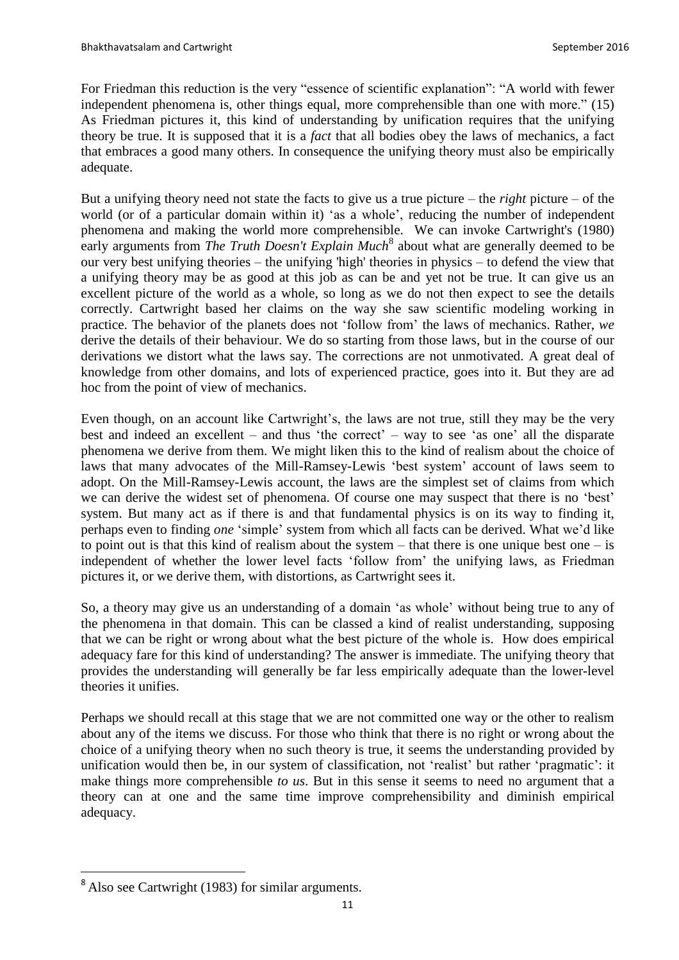For Friedman this reduction is the very "essence of scientific explanation": "A world with fewer independent phenomena is, other things equal, more comprehensible than one with more." (15) As Friedman pictures it, this kind of understanding by unification requires that the unifying theory be true. It is supposed that it is a *fact* that all bodies obey the laws of mechanics, a fact that embraces a good many others. In consequence the unifying theory must also be empirically adequate.

But a unifying theory need not state the facts to give us a true picture – the *right* picture – of the world (or of a particular domain within it) 'as a whole', reducing the number of independent phenomena and making the world more comprehensible. We can invoke Cartwright's (1980) early arguments from *The Truth Doesn't Explain Much*<sup>8</sup> about what are generally deemed to be our very best unifying theories – the unifying 'high' theories in physics – to defend the view that a unifying theory may be as good at this job as can be and yet not be true. It can give us an excellent picture of the world as a whole, so long as we do not then expect to see the details correctly. Cartwright based her claims on the way she saw scientific modeling working in practice. The behavior of the planets does not 'follow from' the laws of mechanics. Rather, *we* derive the details of their behaviour. We do so starting from those laws, but in the course of our derivations we distort what the laws say. The corrections are not unmotivated. A great deal of knowledge from other domains, and lots of experienced practice, goes into it. But they are ad hoc from the point of view of mechanics.

Even though, on an account like Cartwright's, the laws are not true, still they may be the very best and indeed an excellent – and thus 'the correct' – way to see 'as one' all the disparate phenomena we derive from them. We might liken this to the kind of realism about the choice of laws that many advocates of the Mill-Ramsey-Lewis 'best system' account of laws seem to adopt. On the Mill-Ramsey-Lewis account, the laws are the simplest set of claims from which we can derive the widest set of phenomena. Of course one may suspect that there is no 'best' system. But many act as if there is and that fundamental physics is on its way to finding it, perhaps even to finding *one* 'simple' system from which all facts can be derived. What we'd like to point out is that this kind of realism about the system – that there is one unique best one – is independent of whether the lower level facts 'follow from' the unifying laws, as Friedman pictures it, or we derive them, with distortions, as Cartwright sees it.

So, a theory may give us an understanding of a domain 'as whole' without being true to any of the phenomena in that domain. This can be classed a kind of realist understanding, supposing that we can be right or wrong about what the best picture of the whole is. How does empirical adequacy fare for this kind of understanding? The answer is immediate. The unifying theory that provides the understanding will generally be far less empirically adequate than the lower-level theories it unifies.

Perhaps we should recall at this stage that we are not committed one way or the other to realism about any of the items we discuss. For those who think that there is no right or wrong about the choice of a unifying theory when no such theory is true, it seems the understanding provided by unification would then be, in our system of classification, not 'realist' but rather 'pragmatic': it make things more comprehensible *to us*. But in this sense it seems to need no argument that a theory can at one and the same time improve comprehensibility and diminish empirical adequacy.

 $\overline{a}$ 

<sup>&</sup>lt;sup>8</sup> Also see Cartwright (1983) for similar arguments.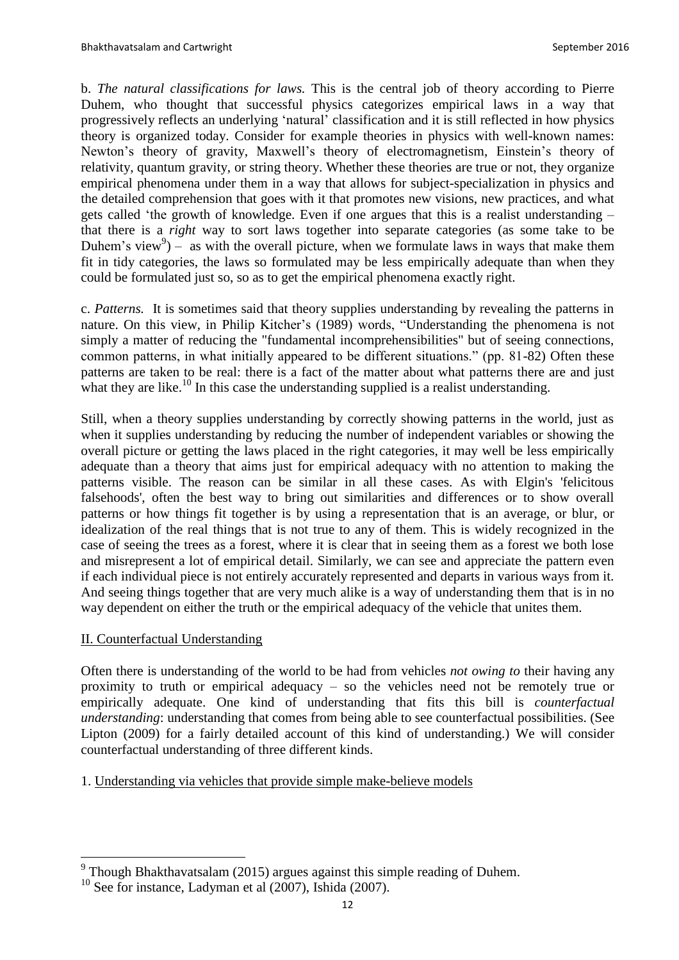b. *The natural classifications for laws.* This is the central job of theory according to Pierre Duhem, who thought that successful physics categorizes empirical laws in a way that progressively reflects an underlying 'natural' classification and it is still reflected in how physics theory is organized today. Consider for example theories in physics with well-known names: Newton's theory of gravity, Maxwell's theory of electromagnetism, Einstein's theory of relativity, quantum gravity, or string theory. Whether these theories are true or not, they organize empirical phenomena under them in a way that allows for subject-specialization in physics and the detailed comprehension that goes with it that promotes new visions, new practices, and what gets called 'the growth of knowledge. Even if one argues that this is a realist understanding – that there is a *right* way to sort laws together into separate categories (as some take to be Duhem's view<sup>9</sup> $)$  – as with the overall picture, when we formulate laws in ways that make them fit in tidy categories, the laws so formulated may be less empirically adequate than when they could be formulated just so, so as to get the empirical phenomena exactly right.

c. *Patterns.* It is sometimes said that theory supplies understanding by revealing the patterns in nature. On this view, in Philip Kitcher's (1989) words, "Understanding the phenomena is not simply a matter of reducing the "fundamental incomprehensibilities" but of seeing connections, common patterns, in what initially appeared to be different situations." (pp. 81-82) Often these patterns are taken to be real: there is a fact of the matter about what patterns there are and just what they are like.<sup>10</sup> In this case the understanding supplied is a realist understanding.

Still, when a theory supplies understanding by correctly showing patterns in the world, just as when it supplies understanding by reducing the number of independent variables or showing the overall picture or getting the laws placed in the right categories, it may well be less empirically adequate than a theory that aims just for empirical adequacy with no attention to making the patterns visible. The reason can be similar in all these cases. As with Elgin's 'felicitous falsehoods', often the best way to bring out similarities and differences or to show overall patterns or how things fit together is by using a representation that is an average, or blur, or idealization of the real things that is not true to any of them. This is widely recognized in the case of seeing the trees as a forest, where it is clear that in seeing them as a forest we both lose and misrepresent a lot of empirical detail. Similarly, we can see and appreciate the pattern even if each individual piece is not entirely accurately represented and departs in various ways from it. And seeing things together that are very much alike is a way of understanding them that is in no way dependent on either the truth or the empirical adequacy of the vehicle that unites them.

# II. Counterfactual Understanding

 $\overline{a}$ 

Often there is understanding of the world to be had from vehicles *not owing to* their having any proximity to truth or empirical adequacy – so the vehicles need not be remotely true or empirically adequate. One kind of understanding that fits this bill is *counterfactual understanding*: understanding that comes from being able to see counterfactual possibilities. (See Lipton (2009) for a fairly detailed account of this kind of understanding.) We will consider counterfactual understanding of three different kinds.

1. Understanding via vehicles that provide simple make-believe models

 $9$  Though Bhakthavatsalam (2015) argues against this simple reading of Duhem.

 $10$  See for instance, Ladyman et al (2007), Ishida (2007).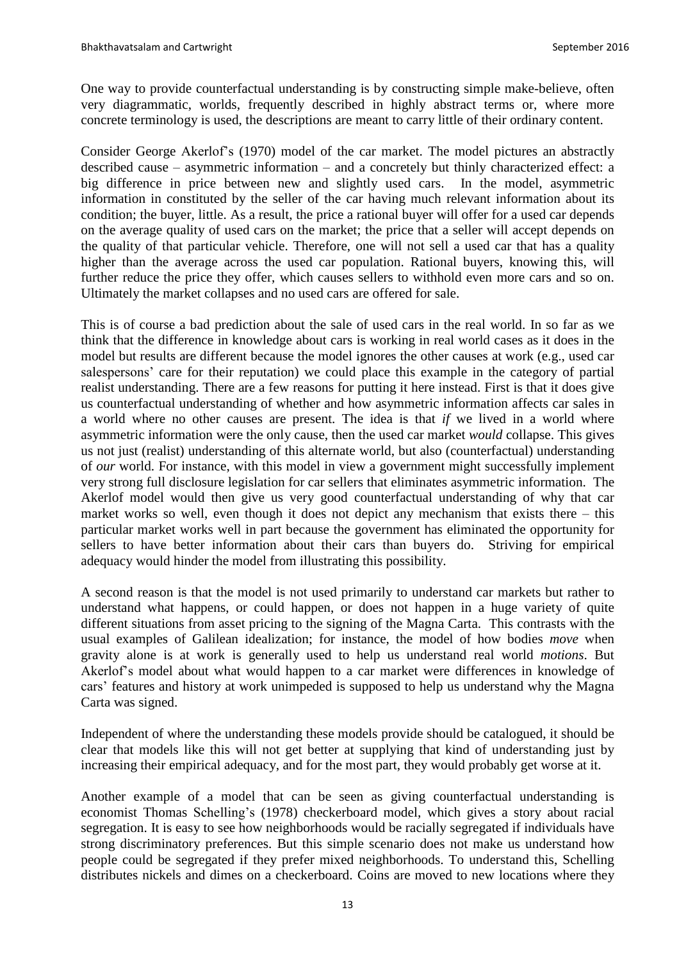One way to provide counterfactual understanding is by constructing simple make-believe, often very diagrammatic, worlds, frequently described in highly abstract terms or, where more concrete terminology is used, the descriptions are meant to carry little of their ordinary content.

Consider George Akerlof's (1970) model of the car market. The model pictures an abstractly described cause – asymmetric information – and a concretely but thinly characterized effect: a big difference in price between new and slightly used cars. In the model, asymmetric information in constituted by the seller of the car having much relevant information about its condition; the buyer, little. As a result, the price a rational buyer will offer for a used car depends on the average quality of used cars on the market; the price that a seller will accept depends on the quality of that particular vehicle. Therefore, one will not sell a used car that has a quality higher than the average across the used car population. Rational buyers, knowing this, will further reduce the price they offer, which causes sellers to withhold even more cars and so on. Ultimately the market collapses and no used cars are offered for sale.

This is of course a bad prediction about the sale of used cars in the real world. In so far as we think that the difference in knowledge about cars is working in real world cases as it does in the model but results are different because the model ignores the other causes at work (e.g., used car salespersons' care for their reputation) we could place this example in the category of partial realist understanding. There are a few reasons for putting it here instead. First is that it does give us counterfactual understanding of whether and how asymmetric information affects car sales in a world where no other causes are present. The idea is that *if* we lived in a world where asymmetric information were the only cause, then the used car market *would* collapse. This gives us not just (realist) understanding of this alternate world, but also (counterfactual) understanding of *our* world. For instance, with this model in view a government might successfully implement very strong full disclosure legislation for car sellers that eliminates asymmetric information. The Akerlof model would then give us very good counterfactual understanding of why that car market works so well, even though it does not depict any mechanism that exists there – this particular market works well in part because the government has eliminated the opportunity for sellers to have better information about their cars than buyers do. Striving for empirical adequacy would hinder the model from illustrating this possibility.

A second reason is that the model is not used primarily to understand car markets but rather to understand what happens, or could happen, or does not happen in a huge variety of quite different situations from asset pricing to the signing of the Magna Carta. This contrasts with the usual examples of Galilean idealization; for instance, the model of how bodies *move* when gravity alone is at work is generally used to help us understand real world *motions*. But Akerlof's model about what would happen to a car market were differences in knowledge of cars' features and history at work unimpeded is supposed to help us understand why the Magna Carta was signed.

Independent of where the understanding these models provide should be catalogued, it should be clear that models like this will not get better at supplying that kind of understanding just by increasing their empirical adequacy, and for the most part, they would probably get worse at it.

Another example of a model that can be seen as giving counterfactual understanding is economist Thomas Schelling's (1978) checkerboard model, which gives a story about racial segregation. It is easy to see how neighborhoods would be racially segregated if individuals have strong discriminatory preferences. But this simple scenario does not make us understand how people could be segregated if they prefer mixed neighborhoods. To understand this, Schelling distributes nickels and dimes on a checkerboard. Coins are moved to new locations where they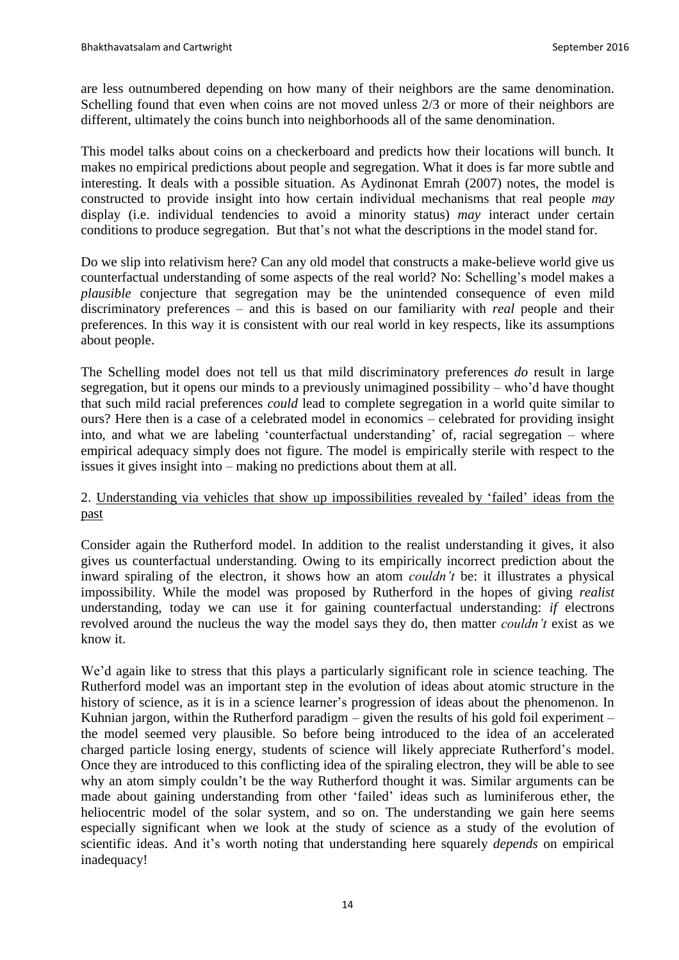are less outnumbered depending on how many of their neighbors are the same denomination. Schelling found that even when coins are not moved unless 2/3 or more of their neighbors are different, ultimately the coins bunch into neighborhoods all of the same denomination.

This model talks about coins on a checkerboard and predicts how their locations will bunch. It makes no empirical predictions about people and segregation. What it does is far more subtle and interesting. It deals with a possible situation. As Aydinonat Emrah (2007) notes, the model is constructed to provide insight into how certain individual mechanisms that real people *may* display (i.e. individual tendencies to avoid a minority status) *may* interact under certain conditions to produce segregation. But that's not what the descriptions in the model stand for.

Do we slip into relativism here? Can any old model that constructs a make-believe world give us counterfactual understanding of some aspects of the real world? No: Schelling's model makes a *plausible* conjecture that segregation may be the unintended consequence of even mild discriminatory preferences – and this is based on our familiarity with *real* people and their preferences. In this way it is consistent with our real world in key respects, like its assumptions about people.

The Schelling model does not tell us that mild discriminatory preferences *do* result in large segregation, but it opens our minds to a previously unimagined possibility – who'd have thought that such mild racial preferences *could* lead to complete segregation in a world quite similar to ours? Here then is a case of a celebrated model in economics – celebrated for providing insight into, and what we are labeling 'counterfactual understanding' of, racial segregation – where empirical adequacy simply does not figure. The model is empirically sterile with respect to the issues it gives insight into – making no predictions about them at all.

# 2. Understanding via vehicles that show up impossibilities revealed by 'failed' ideas from the past

Consider again the Rutherford model. In addition to the realist understanding it gives, it also gives us counterfactual understanding. Owing to its empirically incorrect prediction about the inward spiraling of the electron, it shows how an atom *couldn't* be: it illustrates a physical impossibility. While the model was proposed by Rutherford in the hopes of giving *realist* understanding, today we can use it for gaining counterfactual understanding: *if* electrons revolved around the nucleus the way the model says they do, then matter *couldn't* exist as we know it.

We'd again like to stress that this plays a particularly significant role in science teaching. The Rutherford model was an important step in the evolution of ideas about atomic structure in the history of science, as it is in a science learner's progression of ideas about the phenomenon. In Kuhnian jargon, within the Rutherford paradigm – given the results of his gold foil experiment – the model seemed very plausible. So before being introduced to the idea of an accelerated charged particle losing energy, students of science will likely appreciate Rutherford's model. Once they are introduced to this conflicting idea of the spiraling electron, they will be able to see why an atom simply couldn't be the way Rutherford thought it was. Similar arguments can be made about gaining understanding from other 'failed' ideas such as luminiferous ether, the heliocentric model of the solar system, and so on. The understanding we gain here seems especially significant when we look at the study of science as a study of the evolution of scientific ideas. And it's worth noting that understanding here squarely *depends* on empirical inadequacy!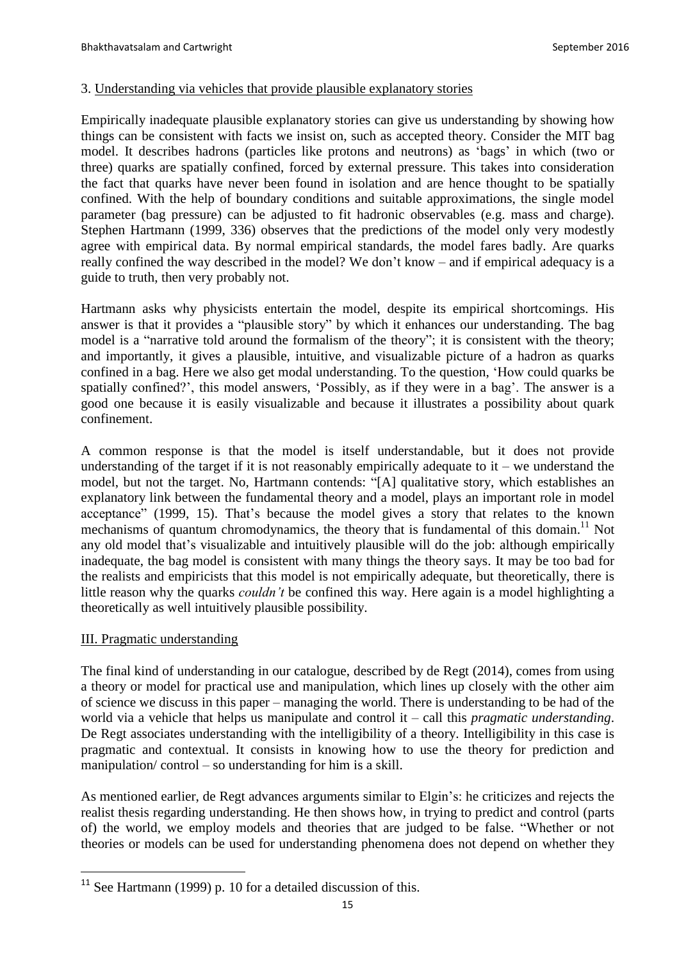#### 3. Understanding via vehicles that provide plausible explanatory stories

Empirically inadequate plausible explanatory stories can give us understanding by showing how things can be consistent with facts we insist on, such as accepted theory. Consider the MIT bag model. It describes hadrons (particles like protons and neutrons) as 'bags' in which (two or three) quarks are spatially confined, forced by external pressure. This takes into consideration the fact that quarks have never been found in isolation and are hence thought to be spatially confined. With the help of boundary conditions and suitable approximations, the single model parameter (bag pressure) can be adjusted to fit hadronic observables (e.g. mass and charge). Stephen Hartmann (1999, 336) observes that the predictions of the model only very modestly agree with empirical data. By normal empirical standards, the model fares badly. Are quarks really confined the way described in the model? We don't know – and if empirical adequacy is a guide to truth, then very probably not.

Hartmann asks why physicists entertain the model, despite its empirical shortcomings. His answer is that it provides a "plausible story" by which it enhances our understanding. The bag model is a "narrative told around the formalism of the theory"; it is consistent with the theory; and importantly, it gives a plausible, intuitive, and visualizable picture of a hadron as quarks confined in a bag. Here we also get modal understanding. To the question, 'How could quarks be spatially confined?', this model answers, 'Possibly, as if they were in a bag'. The answer is a good one because it is easily visualizable and because it illustrates a possibility about quark confinement.

A common response is that the model is itself understandable, but it does not provide understanding of the target if it is not reasonably empirically adequate to  $it$  – we understand the model, but not the target. No, Hartmann contends: "[A] qualitative story, which establishes an explanatory link between the fundamental theory and a model, plays an important role in model acceptance" (1999, 15). That's because the model gives a story that relates to the known mechanisms of quantum chromodynamics, the theory that is fundamental of this domain.<sup>11</sup> Not any old model that's visualizable and intuitively plausible will do the job: although empirically inadequate, the bag model is consistent with many things the theory says. It may be too bad for the realists and empiricists that this model is not empirically adequate, but theoretically, there is little reason why the quarks *couldn't* be confined this way. Here again is a model highlighting a theoretically as well intuitively plausible possibility.

# III. Pragmatic understanding

 $\overline{a}$ 

The final kind of understanding in our catalogue, described by de Regt (2014), comes from using a theory or model for practical use and manipulation, which lines up closely with the other aim of science we discuss in this paper – managing the world. There is understanding to be had of the world via a vehicle that helps us manipulate and control it – call this *pragmatic understanding*. De Regt associates understanding with the intelligibility of a theory. Intelligibility in this case is pragmatic and contextual. It consists in knowing how to use the theory for prediction and manipulation/ control – so understanding for him is a skill.

As mentioned earlier, de Regt advances arguments similar to Elgin's: he criticizes and rejects the realist thesis regarding understanding. He then shows how, in trying to predict and control (parts of) the world, we employ models and theories that are judged to be false. "Whether or not theories or models can be used for understanding phenomena does not depend on whether they

 $11$  See Hartmann (1999) p. 10 for a detailed discussion of this.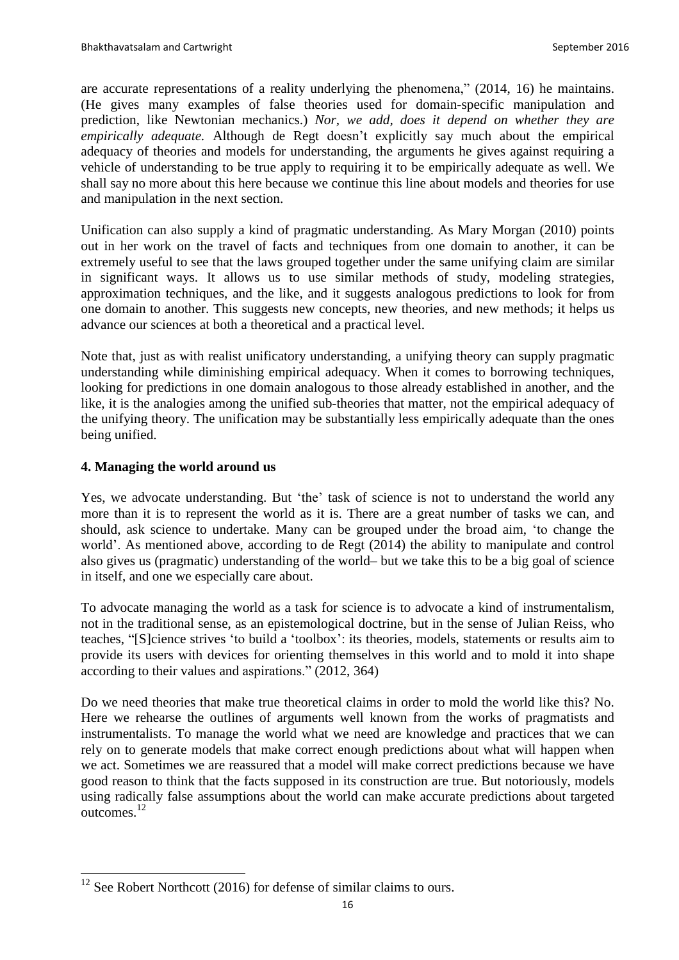are accurate representations of a reality underlying the phenomena," (2014, 16) he maintains. (He gives many examples of false theories used for domain-specific manipulation and prediction, like Newtonian mechanics.) *Nor, we add, does it depend on whether they are empirically adequate.* Although de Regt doesn't explicitly say much about the empirical adequacy of theories and models for understanding, the arguments he gives against requiring a vehicle of understanding to be true apply to requiring it to be empirically adequate as well. We shall say no more about this here because we continue this line about models and theories for use and manipulation in the next section.

Unification can also supply a kind of pragmatic understanding. As Mary Morgan (2010) points out in her work on the travel of facts and techniques from one domain to another, it can be extremely useful to see that the laws grouped together under the same unifying claim are similar in significant ways. It allows us to use similar methods of study, modeling strategies, approximation techniques, and the like, and it suggests analogous predictions to look for from one domain to another. This suggests new concepts, new theories, and new methods; it helps us advance our sciences at both a theoretical and a practical level.

Note that, just as with realist unificatory understanding, a unifying theory can supply pragmatic understanding while diminishing empirical adequacy. When it comes to borrowing techniques, looking for predictions in one domain analogous to those already established in another, and the like, it is the analogies among the unified sub-theories that matter, not the empirical adequacy of the unifying theory. The unification may be substantially less empirically adequate than the ones being unified.

# **4. Managing the world around us**

 $\overline{a}$ 

Yes, we advocate understanding. But 'the' task of science is not to understand the world any more than it is to represent the world as it is. There are a great number of tasks we can, and should, ask science to undertake. Many can be grouped under the broad aim, 'to change the world'. As mentioned above, according to de Regt (2014) the ability to manipulate and control also gives us (pragmatic) understanding of the world– but we take this to be a big goal of science in itself, and one we especially care about.

To advocate managing the world as a task for science is to advocate a kind of instrumentalism, not in the traditional sense, as an epistemological doctrine, but in the sense of Julian Reiss, who teaches, "[S]cience strives 'to build a 'toolbox': its theories, models, statements or results aim to provide its users with devices for orienting themselves in this world and to mold it into shape according to their values and aspirations." (2012, 364)

Do we need theories that make true theoretical claims in order to mold the world like this? No. Here we rehearse the outlines of arguments well known from the works of pragmatists and instrumentalists. To manage the world what we need are knowledge and practices that we can rely on to generate models that make correct enough predictions about what will happen when we act. Sometimes we are reassured that a model will make correct predictions because we have good reason to think that the facts supposed in its construction are true. But notoriously, models using radically false assumptions about the world can make accurate predictions about targeted outcomes.<sup>12</sup>

 $12$  See Robert Northcott (2016) for defense of similar claims to ours.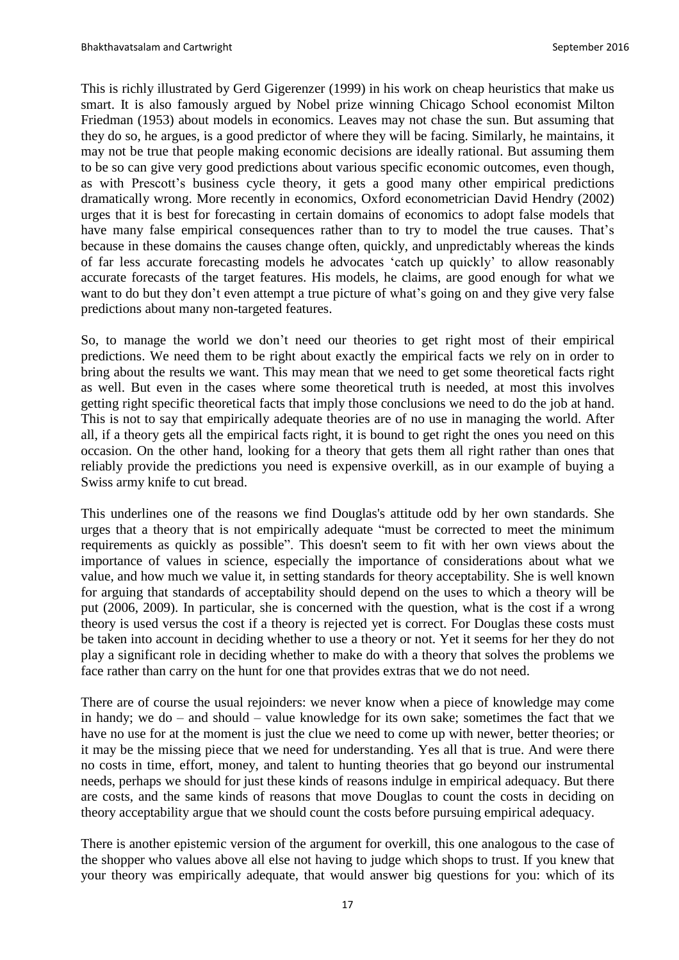This is richly illustrated by Gerd Gigerenzer (1999) in his work on cheap heuristics that make us smart. It is also famously argued by Nobel prize winning Chicago School economist Milton Friedman (1953) about models in economics. Leaves may not chase the sun. But assuming that they do so, he argues, is a good predictor of where they will be facing. Similarly, he maintains, it may not be true that people making economic decisions are ideally rational. But assuming them to be so can give very good predictions about various specific economic outcomes, even though, as with Prescott's business cycle theory, it gets a good many other empirical predictions dramatically wrong. More recently in economics, Oxford econometrician David Hendry (2002) urges that it is best for forecasting in certain domains of economics to adopt false models that have many false empirical consequences rather than to try to model the true causes. That's because in these domains the causes change often, quickly, and unpredictably whereas the kinds of far less accurate forecasting models he advocates 'catch up quickly' to allow reasonably accurate forecasts of the target features. His models, he claims, are good enough for what we want to do but they don't even attempt a true picture of what's going on and they give very false predictions about many non-targeted features.

So, to manage the world we don't need our theories to get right most of their empirical predictions. We need them to be right about exactly the empirical facts we rely on in order to bring about the results we want. This may mean that we need to get some theoretical facts right as well. But even in the cases where some theoretical truth is needed, at most this involves getting right specific theoretical facts that imply those conclusions we need to do the job at hand. This is not to say that empirically adequate theories are of no use in managing the world. After all, if a theory gets all the empirical facts right, it is bound to get right the ones you need on this occasion. On the other hand, looking for a theory that gets them all right rather than ones that reliably provide the predictions you need is expensive overkill, as in our example of buying a Swiss army knife to cut bread.

This underlines one of the reasons we find Douglas's attitude odd by her own standards. She urges that a theory that is not empirically adequate "must be corrected to meet the minimum requirements as quickly as possible". This doesn't seem to fit with her own views about the importance of values in science, especially the importance of considerations about what we value, and how much we value it, in setting standards for theory acceptability. She is well known for arguing that standards of acceptability should depend on the uses to which a theory will be put (2006, 2009). In particular, she is concerned with the question, what is the cost if a wrong theory is used versus the cost if a theory is rejected yet is correct. For Douglas these costs must be taken into account in deciding whether to use a theory or not. Yet it seems for her they do not play a significant role in deciding whether to make do with a theory that solves the problems we face rather than carry on the hunt for one that provides extras that we do not need.

There are of course the usual rejoinders: we never know when a piece of knowledge may come in handy; we do – and should – value knowledge for its own sake; sometimes the fact that we have no use for at the moment is just the clue we need to come up with newer, better theories; or it may be the missing piece that we need for understanding. Yes all that is true. And were there no costs in time, effort, money, and talent to hunting theories that go beyond our instrumental needs, perhaps we should for just these kinds of reasons indulge in empirical adequacy. But there are costs, and the same kinds of reasons that move Douglas to count the costs in deciding on theory acceptability argue that we should count the costs before pursuing empirical adequacy.

There is another epistemic version of the argument for overkill, this one analogous to the case of the shopper who values above all else not having to judge which shops to trust. If you knew that your theory was empirically adequate, that would answer big questions for you: which of its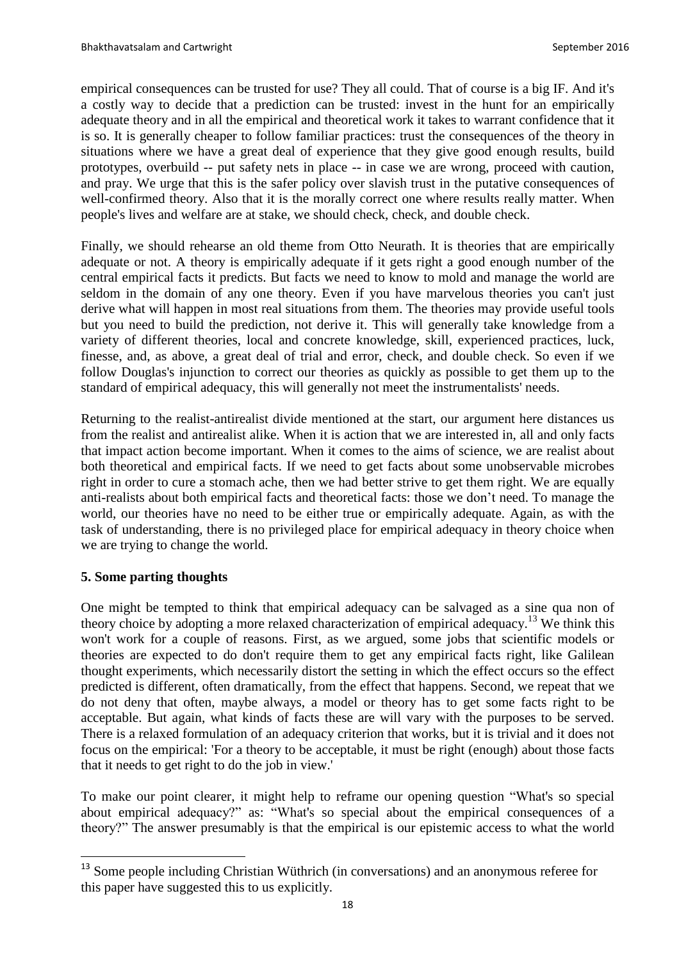empirical consequences can be trusted for use? They all could. That of course is a big IF. And it's a costly way to decide that a prediction can be trusted: invest in the hunt for an empirically adequate theory and in all the empirical and theoretical work it takes to warrant confidence that it is so. It is generally cheaper to follow familiar practices: trust the consequences of the theory in situations where we have a great deal of experience that they give good enough results, build prototypes, overbuild -- put safety nets in place -- in case we are wrong, proceed with caution, and pray. We urge that this is the safer policy over slavish trust in the putative consequences of well-confirmed theory. Also that it is the morally correct one where results really matter. When people's lives and welfare are at stake, we should check, check, and double check.

Finally, we should rehearse an old theme from Otto Neurath. It is theories that are empirically adequate or not. A theory is empirically adequate if it gets right a good enough number of the central empirical facts it predicts. But facts we need to know to mold and manage the world are seldom in the domain of any one theory. Even if you have marvelous theories you can't just derive what will happen in most real situations from them. The theories may provide useful tools but you need to build the prediction, not derive it. This will generally take knowledge from a variety of different theories, local and concrete knowledge, skill, experienced practices, luck, finesse, and, as above, a great deal of trial and error, check, and double check. So even if we follow Douglas's injunction to correct our theories as quickly as possible to get them up to the standard of empirical adequacy, this will generally not meet the instrumentalists' needs.

Returning to the realist-antirealist divide mentioned at the start, our argument here distances us from the realist and antirealist alike. When it is action that we are interested in, all and only facts that impact action become important. When it comes to the aims of science, we are realist about both theoretical and empirical facts. If we need to get facts about some unobservable microbes right in order to cure a stomach ache, then we had better strive to get them right. We are equally anti-realists about both empirical facts and theoretical facts: those we don't need. To manage the world, our theories have no need to be either true or empirically adequate. Again, as with the task of understanding, there is no privileged place for empirical adequacy in theory choice when we are trying to change the world.

# **5. Some parting thoughts**

 $\overline{a}$ 

One might be tempted to think that empirical adequacy can be salvaged as a sine qua non of theory choice by adopting a more relaxed characterization of empirical adequacy.<sup>13</sup> We think this won't work for a couple of reasons. First, as we argued, some jobs that scientific models or theories are expected to do don't require them to get any empirical facts right, like Galilean thought experiments, which necessarily distort the setting in which the effect occurs so the effect predicted is different, often dramatically, from the effect that happens. Second, we repeat that we do not deny that often, maybe always, a model or theory has to get some facts right to be acceptable. But again, what kinds of facts these are will vary with the purposes to be served. There is a relaxed formulation of an adequacy criterion that works, but it is trivial and it does not focus on the empirical: 'For a theory to be acceptable, it must be right (enough) about those facts that it needs to get right to do the job in view.'

To make our point clearer, it might help to reframe our opening question "What's so special about empirical adequacy?" as: "What's so special about the empirical consequences of a theory?" The answer presumably is that the empirical is our epistemic access to what the world

<sup>&</sup>lt;sup>13</sup> Some people including Christian Wüthrich (in conversations) and an anonymous referee for this paper have suggested this to us explicitly.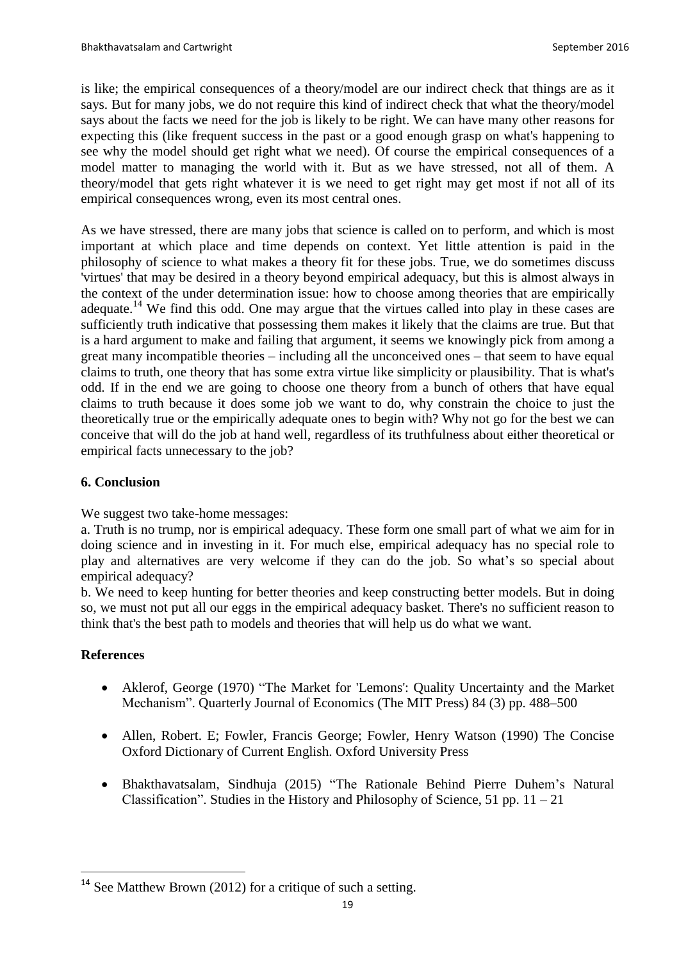is like; the empirical consequences of a theory/model are our indirect check that things are as it says. But for many jobs, we do not require this kind of indirect check that what the theory/model says about the facts we need for the job is likely to be right. We can have many other reasons for expecting this (like frequent success in the past or a good enough grasp on what's happening to see why the model should get right what we need). Of course the empirical consequences of a model matter to managing the world with it. But as we have stressed, not all of them. A theory/model that gets right whatever it is we need to get right may get most if not all of its empirical consequences wrong, even its most central ones.

As we have stressed, there are many jobs that science is called on to perform, and which is most important at which place and time depends on context. Yet little attention is paid in the philosophy of science to what makes a theory fit for these jobs. True, we do sometimes discuss 'virtues' that may be desired in a theory beyond empirical adequacy, but this is almost always in the context of the under determination issue: how to choose among theories that are empirically adequate.<sup>14</sup> We find this odd. One may argue that the virtues called into play in these cases are sufficiently truth indicative that possessing them makes it likely that the claims are true. But that is a hard argument to make and failing that argument, it seems we knowingly pick from among a great many incompatible theories – including all the unconceived ones – that seem to have equal claims to truth, one theory that has some extra virtue like simplicity or plausibility. That is what's odd. If in the end we are going to choose one theory from a bunch of others that have equal claims to truth because it does some job we want to do, why constrain the choice to just the theoretically true or the empirically adequate ones to begin with? Why not go for the best we can conceive that will do the job at hand well, regardless of its truthfulness about either theoretical or empirical facts unnecessary to the job?

# **6. Conclusion**

We suggest two take-home messages:

a. Truth is no trump, nor is empirical adequacy. These form one small part of what we aim for in doing science and in investing in it. For much else, empirical adequacy has no special role to play and alternatives are very welcome if they can do the job. So what's so special about empirical adequacy?

b. We need to keep hunting for better theories and keep constructing better models. But in doing so, we must not put all our eggs in the empirical adequacy basket. There's no sufficient reason to think that's the best path to models and theories that will help us do what we want.

# **References**

 $\overline{a}$ 

- Aklerof, George (1970) "The Market for 'Lemons': Quality Uncertainty and the Market Mechanism". Quarterly Journal of Economics (The MIT Press) 84 (3) pp. 488–500
- Allen, Robert. E; Fowler, Francis George; Fowler, Henry Watson (1990) The Concise Oxford Dictionary of Current English. Oxford University Press
- Bhakthavatsalam, Sindhuja (2015) "The Rationale Behind Pierre Duhem's Natural Classification". Studies in the History and Philosophy of Science, 51 pp.  $11 - 21$

<sup>&</sup>lt;sup>14</sup> See Matthew Brown (2012) for a critique of such a setting.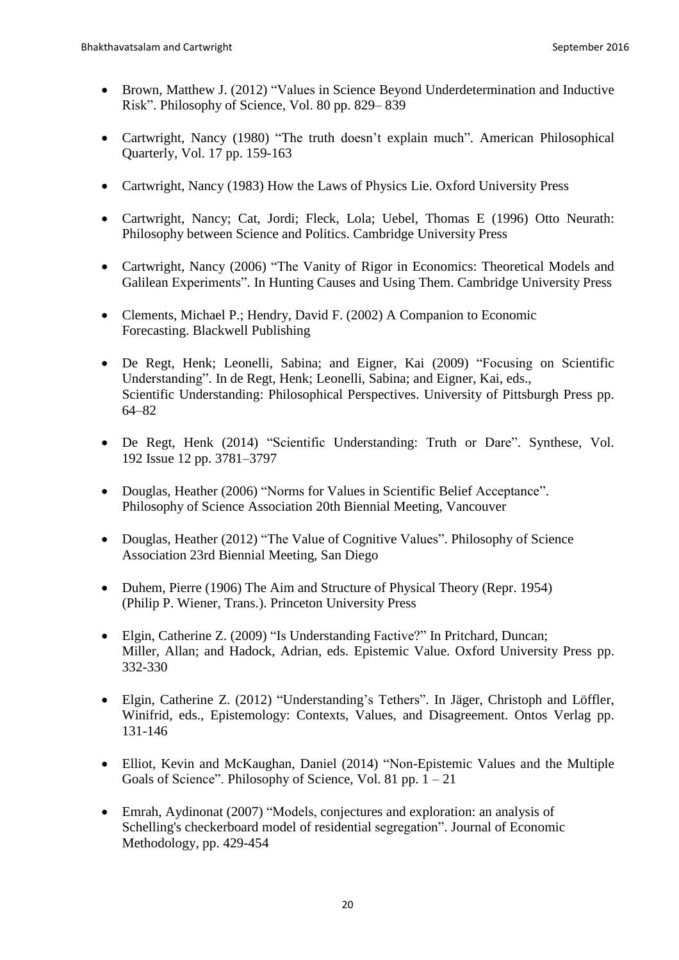- Brown, Matthew J. (2012) "Values in Science Beyond Underdetermination and Inductive Risk". Philosophy of Science, Vol. 80 pp. 829– 839
- Cartwright, Nancy (1980) "The truth doesn't explain much". American Philosophical Quarterly, Vol. 17 pp. 159-163
- Cartwright, Nancy (1983) How the Laws of Physics Lie. Oxford University Press
- Cartwright, Nancy; Cat, Jordi; Fleck, Lola; Uebel, Thomas E (1996) Otto Neurath: Philosophy between Science and Politics. Cambridge University Press
- Cartwright, Nancy (2006) "The Vanity of Rigor in Economics: Theoretical Models and Galilean Experiments". In Hunting Causes and Using Them. Cambridge University Press
- Clements, Michael P.; Hendry, David F. (2002) A Companion to Economic Forecasting. Blackwell Publishing
- De Regt, Henk; Leonelli, Sabina; and Eigner, Kai (2009) "Focusing on Scientific Understanding". In de Regt, Henk; Leonelli, Sabina; and Eigner, Kai, eds., Scientific Understanding: Philosophical Perspectives. University of Pittsburgh Press pp. 64–82
- De Regt, Henk (2014) "Scientific Understanding: Truth or Dare". Synthese, Vol. 192 Issue 12 pp. 3781–3797
- Douglas, Heather (2006) "Norms for Values in Scientific Belief Acceptance". Philosophy of Science Association 20th Biennial Meeting, Vancouver
- Douglas, Heather (2012) "The Value of Cognitive Values". Philosophy of Science Association 23rd Biennial Meeting, San Diego
- Duhem, Pierre (1906) The Aim and Structure of Physical Theory (Repr. 1954) (Philip P. Wiener, Trans.). Princeton University Press
- Elgin, Catherine Z. (2009) "Is Understanding Factive?" In Pritchard, Duncan; Miller, Allan; and Hadock, Adrian, eds. Epistemic Value. Oxford University Press pp. 332-330
- Elgin, Catherine Z. (2012) "Understanding's Tethers". In Jäger, Christoph and Löffler, Winifrid, eds., Epistemology: Contexts, Values, and Disagreement. Ontos Verlag pp. 131-146
- Elliot, Kevin and McKaughan, Daniel (2014) "Non-Epistemic Values and the Multiple Goals of Science". Philosophy of Science, Vol. 81 pp. 1 – 21
- Emrah, Aydinonat (2007) "Models, conjectures and exploration: an analysis of Schelling's checkerboard model of residential segregation". Journal of Economic Methodology, pp. 429-454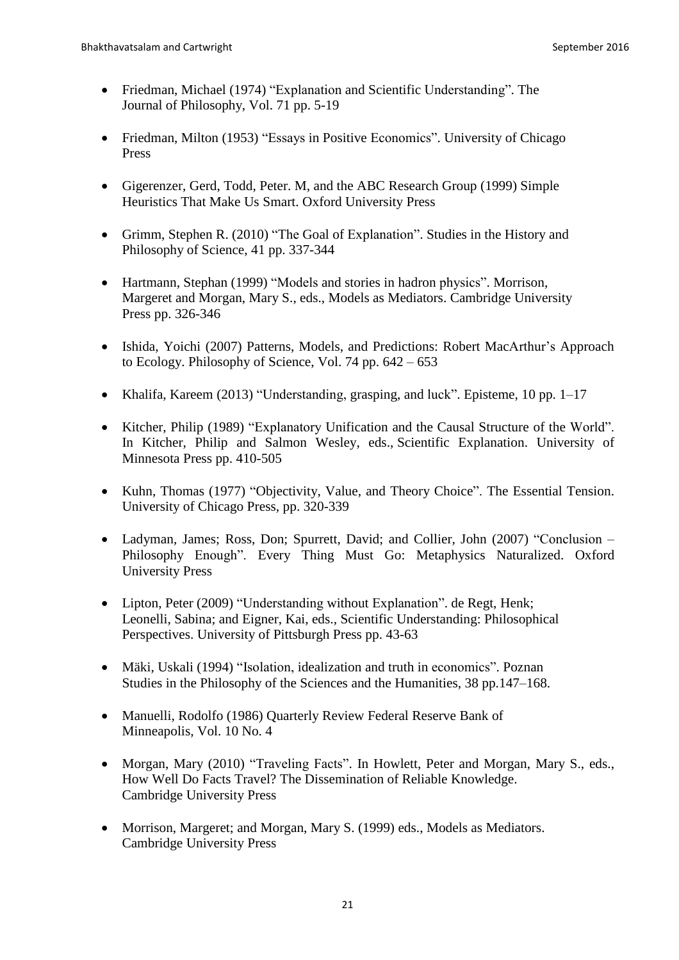- Friedman, Michael (1974) "Explanation and Scientific Understanding". The Journal of Philosophy, Vol. 71 pp. 5-19
- Friedman, Milton (1953) "Essays in Positive Economics". University of Chicago Press
- Gigerenzer, Gerd, Todd, Peter. M, and the ABC Research Group (1999) Simple Heuristics That Make Us Smart. Oxford University Press
- Grimm, Stephen R. (2010) "The Goal of Explanation". Studies in the History and Philosophy of Science, 41 pp. 337-344
- Hartmann, Stephan (1999) "Models and stories in hadron physics". Morrison, Margeret and Morgan, Mary S., eds., Models as Mediators. Cambridge University Press pp. 326-346
- Ishida, Yoichi (2007) Patterns, Models, and Predictions: Robert MacArthur's Approach to Ecology. Philosophy of Science, Vol. 74 pp. 642 – 653
- Khalifa, Kareem (2013) "Understanding, grasping, and luck". Episteme, 10 pp. 1–17
- Kitcher, Philip (1989) "Explanatory Unification and the Causal Structure of the World". In Kitcher, Philip and Salmon Wesley, eds., Scientific Explanation. University of Minnesota Press pp. 410-505
- Kuhn, Thomas (1977) "Objectivity, Value, and Theory Choice". The Essential Tension. University of Chicago Press, pp. 320-339
- Ladyman, James; Ross, Don; Spurrett, David; and Collier, John (2007) "Conclusion Philosophy Enough". Every Thing Must Go: Metaphysics Naturalized. Oxford University Press
- Lipton, Peter (2009) "Understanding without Explanation". de Regt, Henk; Leonelli, Sabina; and Eigner, Kai, eds., Scientific Understanding: Philosophical Perspectives. University of Pittsburgh Press pp. 43-63
- Mäki, Uskali (1994) "Isolation, idealization and truth in economics". Poznan Studies in the Philosophy of the Sciences and the Humanities, 38 pp.147–168.
- Manuelli, Rodolfo (1986) Quarterly Review Federal Reserve Bank of Minneapolis, Vol. 10 No. 4
- Morgan, Mary (2010) "Traveling Facts". In Howlett, Peter and Morgan, Mary S., eds., How Well Do Facts Travel? The Dissemination of Reliable Knowledge. Cambridge University Press
- Morrison, Margeret; and Morgan, Mary S. (1999) eds., Models as Mediators. Cambridge University Press